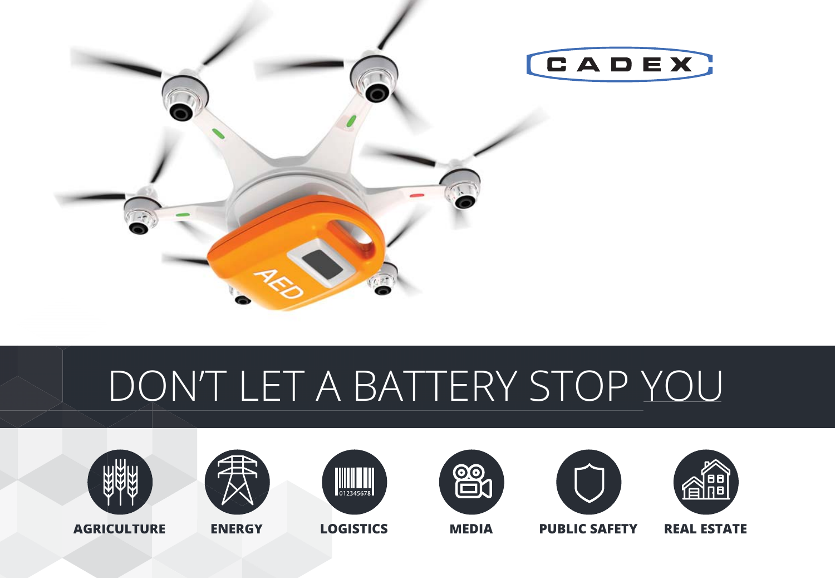

# DON'T LET A BATTERY STOP YOU















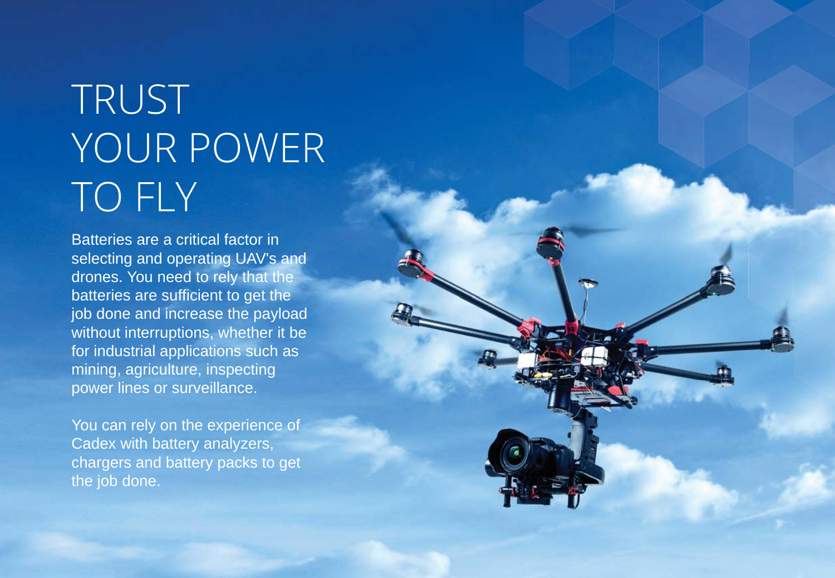# TRUST YOUR POWER TO FLY

Batteries are a critical factor in selecting and operating UAV's and drones. You need to rely that the batteries are sufficient to get the job done and increase the payload without interruptions, whether it be for industrial applications such as mining, agriculture, inspecting power lines or surveillance.

You can rely on the experience of Cadex with battery analyzers, chargers and battery packs to get the job done.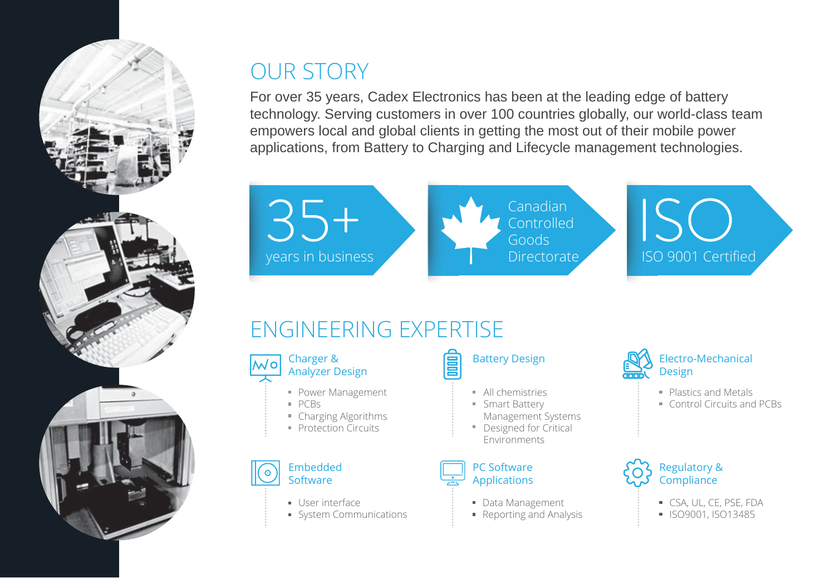

#### OUR STORY

For over 35 years, Cadex Electronics has been at the leading edge of battery technology. Serving customers in over 100 countries globally, our world-class team empowers local and global clients in getting the most out of their mobile power applications, from Battery to Charging and Lifecycle management technologies.

 $35 +$ years in business **INGLE INCORD EXECUTE ISO 9001 Certified** 

Canadian Controlled Goods

ISC

### ENGINEERING EXPERTISE



- **Power Management**
- PCBs
- Charging Algorithms
- **Protection Circuits**



- User interface
- System Communications

Battery Design

- **All chemistries**
- **Smart Battery** Management Systems Designed for Critical Environments

#### PC Software Applications

- Data Management
- Reporting and Analysis



- **Plastics and Metals**
- Control Circuits and PCBs



- CSA, UL, CE, PSE, FDA
- **I**ISO9001, ISO13485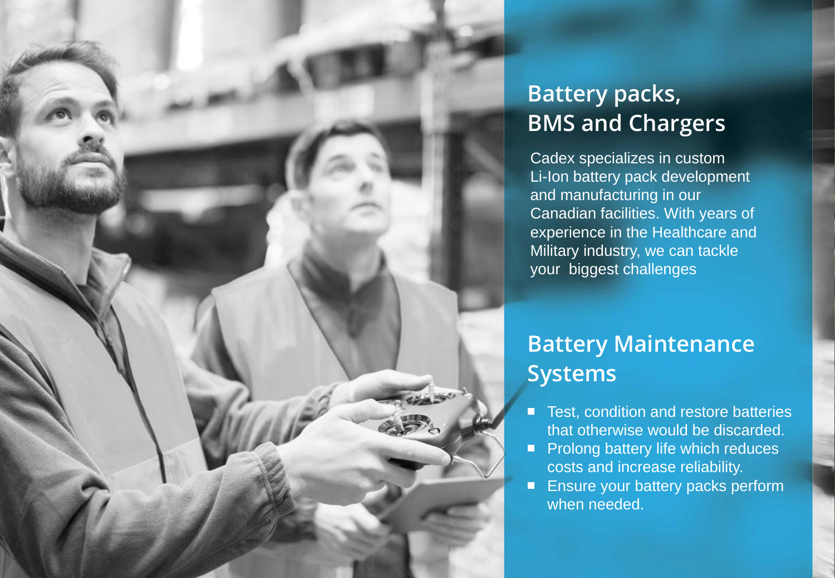#### **Battery packs, BMS and Chargers**

Cadex specializes in custom Li-Ion battery pack development and manufacturing in our Canadian facilities. With years of experience in the Healthcare and **Military industry, we can tackle** your biggest challenges

#### **Battery Maintenance Systems**

- Test, condition and restore batteries  $\blacksquare$ that otherwise would be discarded.
- $\blacksquare$  Prolong battery life which reduces costs and increase reliability.
- **Ensure your battery packs perform** when needed.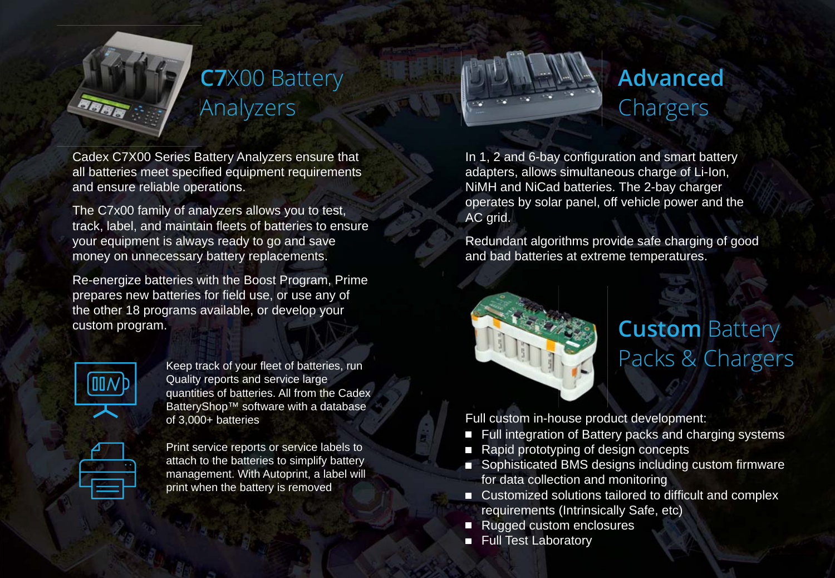

### **C7**X00 Battery **C** Analyzers A

Cadex C7X00 Series Battery Analyzers ensure that all batteries meet specified equipment requirements and ensure reliable operations.

The C7x00 family of analyzers allows you to test, track, label, and maintain fleets of batteries to ensure your equipment is always ready to go and save money on unnecessary battery replacements.

Re-energize batteries with the Boost Program, Prime prepares new batteries for field use, or use any of the other 18 programs available, or develop your custom program.

Keep track of your fleet of batteries, run Quality reports and service large quantities of batteries. All from the Cadex BatteryShop™ software with a database of 3,000+ batteries



Print service reports or service labels to attach to the batteries to simplify battery management. With Autoprint, a label will print when the battery is removed



### **Advanced**  Chargers

In 1, 2 and 6-bay configuration and smart battery adapters, allows simultaneous charge of Li-Ion, NiMH and NiCad batteries. The 2-bay charger operates by solar panel, off vehicle power and the AC grid.

Redundant algorithms provide safe charging of good and bad batteries at extreme temperatures.



#### **Custom Battery** Packs & Chargers

Full custom in-house product development:

- Full integration of Battery packs and charging systems
- Rapid prototyping of design concepts
- Sophisticated BMS designs including custom firmware for data collection and monitoring
- Customized solutions tailored to difficult and complex requirements (Intrinsically Safe, etc)
- Rugged custom enclosures
- **Full Test Laboratory**